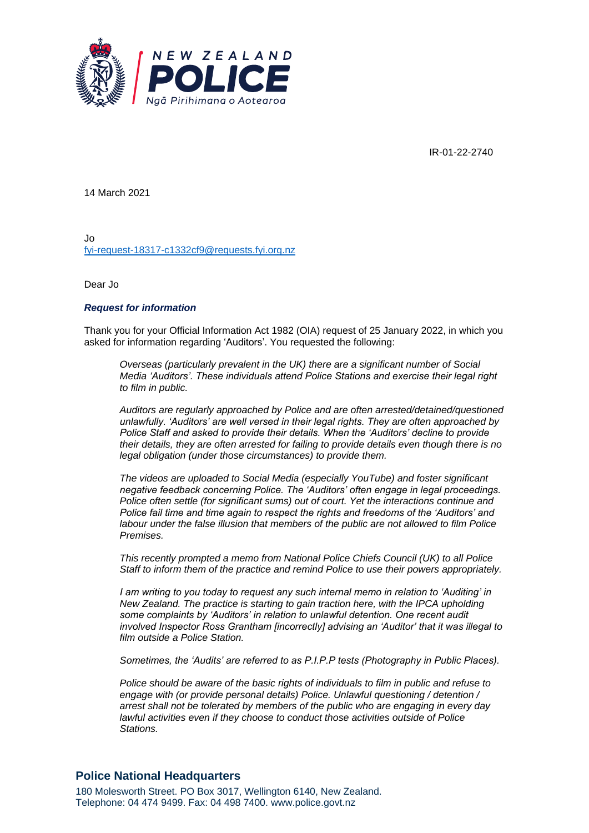

IR-01-22-2740

14 March 2021

Jo [fyi-request-18317-c1332cf9@requests.fyi.org.nz](mailto:xxxxxxxxxxxxxxxxxxxxxxxxxx@xxxxxxxx.xxx.xxx.xx)

Dear Jo

## *Request for information*

Thank you for your Official Information Act 1982 (OIA) request of 25 January 2022, in which you asked for information regarding 'Auditors'. You requested the following:

*Overseas (particularly prevalent in the UK) there are a significant number of Social Media 'Auditors'. These individuals attend Police Stations and exercise their legal right to film in public.*

*Auditors are regularly approached by Police and are often arrested/detained/questioned unlawfully. 'Auditors' are well versed in their legal rights. They are often approached by Police Staff and asked to provide their details. When the 'Auditors' decline to provide their details, they are often arrested for failing to provide details even though there is no legal obligation (under those circumstances) to provide them.*

*The videos are uploaded to Social Media (especially YouTube) and foster significant negative feedback concerning Police. The 'Auditors' often engage in legal proceedings. Police often settle (for significant sums) out of court. Yet the interactions continue and Police fail time and time again to respect the rights and freedoms of the 'Auditors' and labour under the false illusion that members of the public are not allowed to film Police Premises.*

*This recently prompted a memo from National Police Chiefs Council (UK) to all Police Staff to inform them of the practice and remind Police to use their powers appropriately.*

*I am writing to you today to request any such internal memo in relation to 'Auditing' in New Zealand. The practice is starting to gain traction here, with the IPCA upholding some complaints by 'Auditors' in relation to unlawful detention. One recent audit involved Inspector Ross Grantham [incorrectly] advising an 'Auditor' that it was illegal to film outside a Police Station.*

*Sometimes, the 'Audits' are referred to as P.I.P.P tests (Photography in Public Places).*

*Police should be aware of the basic rights of individuals to film in public and refuse to engage with (or provide personal details) Police. Unlawful questioning / detention / arrest shall not be tolerated by members of the public who are engaging in every day lawful activities even if they choose to conduct those activities outside of Police Stations.*

## **Police National Headquarters**

180 Molesworth Street. PO Box 3017, Wellington 6140, New Zealand. Telephone: 04 474 9499. Fax: 04 498 7400. www.police.govt.nz